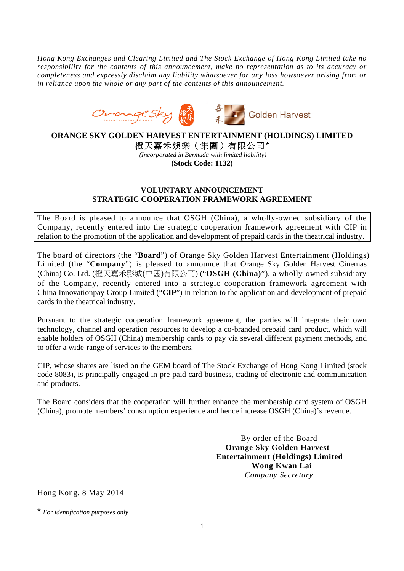*Hong Kong Exchanges and Clearing Limited and The Stock Exchange of Hong Kong Limited take no responsibility for the contents of this announcement, make no representation as to its accuracy or completeness and expressly disclaim any liability whatsoever for any loss howsoever arising from or in reliance upon the whole or any part of the contents of this announcement.* 



## **ORANGE SKY GOLDEN HARVEST ENTERTAINMENT (HOLDINGS) LIMITED**  橙天嘉禾娛樂(集團)有限公司\*

*(Incorporated in Bermuda with limited liability)*  **(Stock Code: 1132)** 

## **VOLUNTARY ANNOUNCEMENT STRATEGIC COOPERATION FRAMEWORK AGREEMENT**

The Board is pleased to announce that OSGH (China), a wholly-owned subsidiary of the Company, recently entered into the strategic cooperation framework agreement with CIP in relation to the promotion of the application and development of prepaid cards in the theatrical industry.

The board of directors (the "**Board**") of Orange Sky Golden Harvest Entertainment (Holdings) Limited (the "**Company**") is pleased to announce that Orange Sky Golden Harvest Cinemas (China) Co. Ltd. (橙天嘉禾影城(中國)有限公司) ("**OSGH (China)**"), a wholly-owned subsidiary of the Company, recently entered into a strategic cooperation framework agreement with China Innovationpay Group Limited ("**CIP**") in relation to the application and development of prepaid cards in the theatrical industry.

Pursuant to the strategic cooperation framework agreement, the parties will integrate their own technology, channel and operation resources to develop a co-branded prepaid card product, which will enable holders of OSGH (China) membership cards to pay via several different payment methods, and to offer a wide-range of services to the members.

CIP, whose shares are listed on the GEM board of The Stock Exchange of Hong Kong Limited (stock code 8083), is principally engaged in pre-paid card business, trading of electronic and communication and products.

The Board considers that the cooperation will further enhance the membership card system of OSGH (China), promote members' consumption experience and hence increase OSGH (China)'s revenue.

> By order of the Board **Orange Sky Golden Harvest Entertainment (Holdings) Limited Wong Kwan Lai**  *Company Secretary*

Hong Kong, 8 May 2014

\* *For identification purposes only*